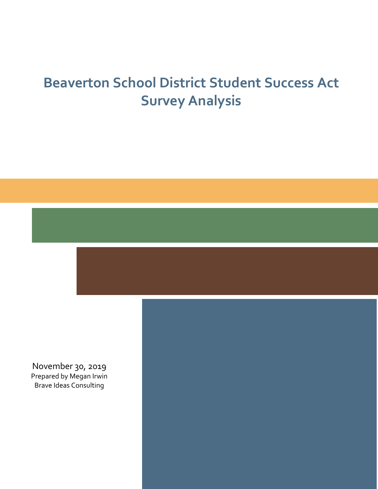# **Beaverton School District Student Success Act Survey Analysis**



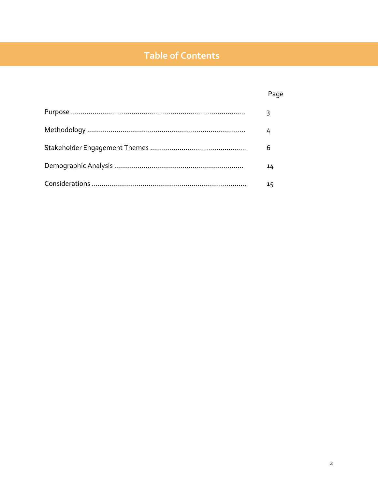# **Table of Contents**

# Page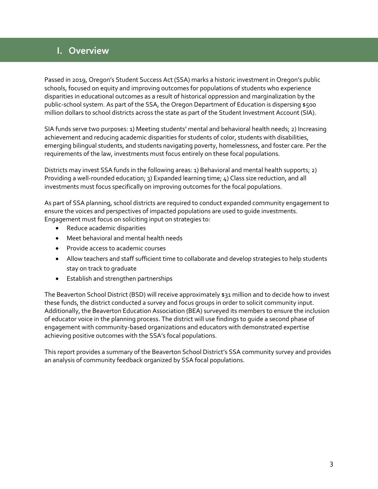# **I. Overview**

Passed in 2019, Oregon's Student Success Act (SSA) marks a historic investment in Oregon's public schools, focused on equity and improving outcomes for populations of students who experience disparities in educational outcomes as a result of historical oppression and marginalization by the public-school system. As part of the SSA, the Oregon Department of Education is dispersing \$500 million dollars to school districts across the state as part of the Student Investment Account (SIA).

SIA funds serve two purposes: 1) Meeting students' mental and behavioral health needs; 2) Increasing achievement and reducing academic disparities for students of color, students with disabilities, emerging bilingual students, and students navigating poverty, homelessness, and foster care. Per the requirements of the law, investments must focus entirely on these focal populations.

Districts may invest SSA funds in the following areas: 1) Behavioral and mental health supports; 2) Providing a well-rounded education; 3) Expanded learning time; 4) Class size reduction, and all investments must focus specifically on improving outcomes for the focal populations.

As part of SSA planning, school districts are required to conduct expanded community engagement to ensure the voices and perspectives of impacted populations are used to guide investments. Engagement must focus on soliciting input on strategies to:

- Reduce academic disparities
- Meet behavioral and mental health needs
- Provide access to academic courses
- Allow teachers and staff sufficient time to collaborate and develop strategies to help students stay on track to graduate
- Establish and strengthen partnerships

The Beaverton School District (BSD) will receive approximately \$31 million and to decide how to invest these funds, the district conducted a survey and focus groups in order to solicit community input. Additionally, the Beaverton Education Association (BEA) surveyed its members to ensure the inclusion of educator voice in the planning process. The district will use findings to guide a second phase of engagement with community-based organizations and educators with demonstrated expertise achieving positive outcomes with the SSA's focal populations.

This report provides a summary of the Beaverton School District's SSA community survey and provides an analysis of community feedback organized by SSA focal populations.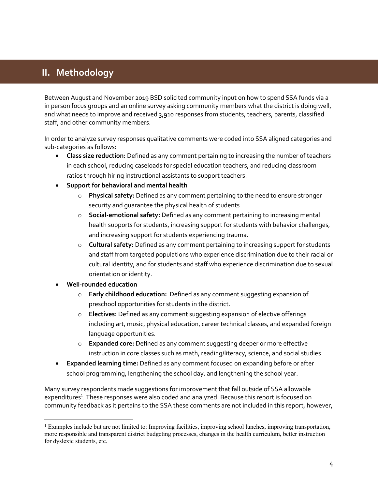# **II. Methodology**

Between August and November 2019 BSD solicited community input on how to spend SSA funds via a in person focus groups and an online survey asking community members what the district is doing well, and what needs to improve and received 3,910 responses from students, teachers, parents, classified staff, and other community members.

In order to analyze survey responses qualitative comments were coded into SSA aligned categories and sub-categories as follows:

- **Class size reduction:** Defined as any comment pertaining to increasing the number of teachers in each school, reducing caseloads for special education teachers, and reducing classroom ratios through hiring instructional assistants to support teachers.
- **Support for behavioral and mental health**
	- o **Physical safety:** Defined as any comment pertaining to the need to ensure stronger security and guarantee the physical health of students.
	- o **Social-emotional safety:** Defined as any comment pertaining to increasing mental health supports for students, increasing support for students with behavior challenges, and increasing support for students experiencing trauma.
	- o **Cultural safety:** Defined as any comment pertaining to increasing support for students and staff from targeted populations who experience discrimination due to their racial or cultural identity, and for students and staff who experience discrimination due to sexual orientation or identity.
- **Well-rounded education** 
	- o **Early childhood education:** Defined as any comment suggesting expansion of preschool opportunities for students in the district.
	- o **Electives:** Defined as any comment suggesting expansion of elective offerings including art, music, physical education, career technical classes, and expanded foreign language opportunities.
	- o **Expanded core:** Defined as any comment suggesting deeper or more effective instruction in core classes such as math, reading/literacy, science, and social studies.
- **Expanded learning time:** Defined as any comment focused on expanding before or after school programming, lengthening the school day, and lengthening the school year.

Many survey respondents made suggestions for improvement that fall outside of SSA allowable expenditures<sup>1</sup>. These responses were also coded and analyzed. Because this report is focused on community feedback as it pertains to the SSA these comments are not included in this report, however,

<sup>1</sup> Examples include but are not limited to: Improving facilities, improving school lunches, improving transportation, more responsible and transparent district budgeting processes, changes in the health curriculum, better instruction for dyslexic students, etc.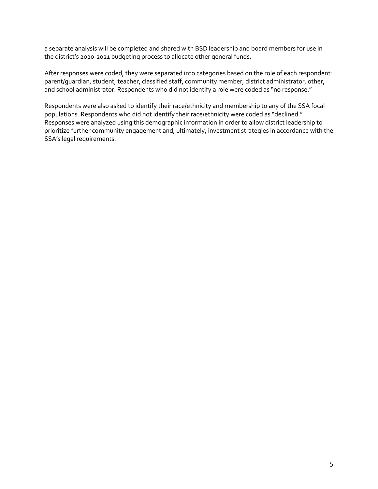a separate analysis will be completed and shared with BSD leadership and board members for use in the district's 2020-2021 budgeting process to allocate other general funds.

After responses were coded, they were separated into categories based on the role of each respondent: parent/guardian, student, teacher, classified staff, community member, district administrator, other, and school administrator. Respondents who did not identify a role were coded as "no response."

Respondents were also asked to identify their race/ethnicity and membership to any of the SSA focal populations. Respondents who did not identify their race/ethnicity were coded as "declined." Responses were analyzed using this demographic information in order to allow district leadership to prioritize further community engagement and, ultimately, investment strategies in accordance with the SSA's legal requirements.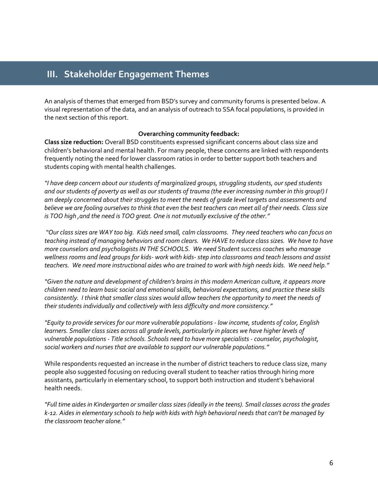### **III. Stakeholder Engagement Themes**

An analysis of themes that emerged from BSD's survey and community forums is presented below. A visual representation of the data, and an analysis of outreach to SSA focal populations, is provided in the next section of this report.

#### **Overarching community feedback:**

**Class size reduction:** Overall BSD constituents expressed significant concerns about class size and children's behavioral and mental health. For many people, these concerns are linked with respondents frequently noting the need for lower classroom ratios in order to better support both teachers and students coping with mental health challenges.

*"I have deep concern about our students of marginalized groups, struggling students, our sped students and our students of poverty as well as our students of trauma (the ever increasing number in this group!) I am deeply concerned about their struggles to meet the needs of grade level targets and assessments and believe we are fooling ourselves to think that even the best teachers can meet all of their needs. Class size is TOO high ,and the need is TOO great. One is not mutually exclusive of the other."*

*"Our class sizes are WAY too big. Kids need small, calm classrooms. They need teachers who can focus on teaching instead of managing behaviors and room clears. We HAVE to reduce class sizes. We have to have more counselors and psychologists IN THE SCHOOLS. We need Student success coaches who manage wellness rooms and lead groups for kids- work with kids-step into classrooms and teach lessons and assist teachers. We need more instructional aides who are trained to work with high needs kids. We need help."*

*"Given the nature and development of children's brains in this modern American culture, it appears more children need to learn basic social and emotional skills, behavioral expectations, and practice these skills consistently. I think that smaller class sizes would allow teachers the opportunity to meet the needs of their students individually and collectively with less difficulty and more consistency."*

*"Equity to provide services for our more vulnerable populations - low income, students of color, English learners. Smaller class sizes across all grade levels, particularly in places we have higher levels of vulnerable populations - Title schools. Schools need to have more specialists - counselor, psychologist, social workers and nurses that are available to support our vulnerable populations."*

While respondents requested an increase in the number of district teachers to reduce class size, many people also suggested focusing on reducing overall student to teacher ratios through hiring more assistants, particularly in elementary school, to support both instruction and student's behavioral health needs.

*"Full time aides in Kindergarten or smaller class sizes (ideally in the teens). Small classes across the grades k-12. Aides in elementary schools to help with kids with high behavioral needs that can't be managed by the classroom teacher alone."*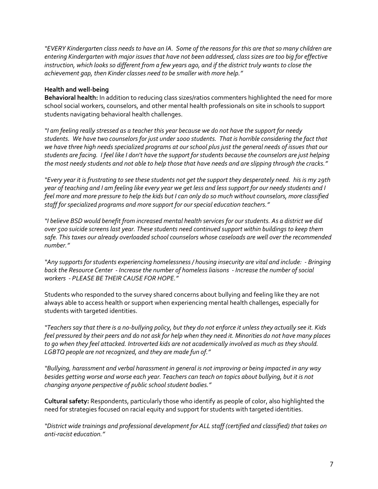*"EVERY Kindergarten class needs to have an IA. Some of the reasons for this are that so many children are entering Kindergarten with major issues that have not been addressed, class sizes are too big for effective instruction, which looks so different from a few years ago, and if the district truly wants to close the achievement gap, then Kinder classes need to be smaller with more help."*

#### **Health and well-being**

**Behavioral health:** In addition to reducing class sizes/ratios commenters highlighted the need for more school social workers, counselors, and other mental health professionals on site in schools to support students navigating behavioral health challenges.

*"I am feeling really stressed as a teacher this year because we do not have the support for needy students. We have two counselors for just under 1000 students. That is horrible considering the fact that we have three high needs specialized programs at our school plus just the general needs of issues that our students are facing. I feel like I don't have the support for students because the counselors are just helping the most needy students and not able to help those that have needs and are slipping through the cracks."*

*"Every year it is frustrating to see these students not get the support they desperately need. his is my 29th year of teaching and I am feeling like every year we get less and less support for our needy students and I feel more and more pressure to help the kids but I can only do so much without counselors, more classified staff for specialized programs and more support for our special education teachers."*

*"I believe BSD would benefit from increased mental health services for our students. As a district we did over 500 suicide screens last year. These students need continued support within buildings to keep them safe. This taxes our already overloaded school counselors whose caseloads are well over the recommended number."*

*"Any supports for students experiencing homelessness / housing insecurity are vital and include: - Bringing back the Resource Center - Increase the number of homeless liaisons - Increase the number of social workers - PLEASE BE THEIR CAUSE FOR HOPE."*

Students who responded to the survey shared concerns about bullying and feeling like they are not always able to access health or support when experiencing mental health challenges, especially for students with targeted identities.

*"Teachers say that there is a no-bullying policy, but they do not enforce it unless they actually see it. Kids feel pressured by their peers and do not ask for help when they need it. Minorities do not have many places to go when they feel attacked. Introverted kids are not academically involved as much as they should. LGBTQ people are not recognized, and they are made fun of."*

*"Bullying, harassment and verbal harassment in general is not improving or being impacted in any way besides getting worse and worse each year. Teachers can teach on topics about bullying, but it is not changing anyone perspective of public school student bodies."*

**Cultural safety:** Respondents, particularly those who identify as people of color, also highlighted the need for strategies focused on racial equity and support for students with targeted identities.

*"District wide trainings and professional development for ALL staff (certified and classified) that takes on anti-racist education."*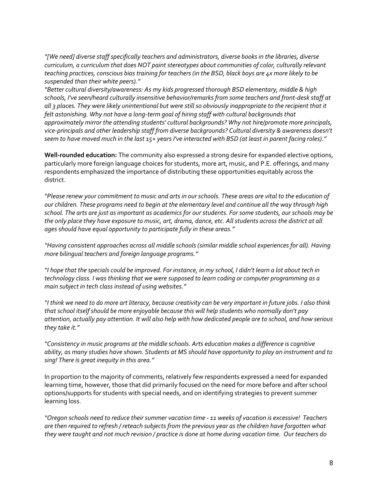*"[We need] diverse staff specifically teachers and administrators, diverse books in the libraries, diverse curriculum, a curriculum that does NOT paint stereotypes about communities of color, culturally relevant teaching practices, conscious bias training for teachers (in the BSD, black boys are 4x more likely to be suspended than their white peers)."*

*"Better cultural diversity/awareness: As my kids progressed thorough BSD elementary, middle & high schools, I've seen/heard culturally insensitive behavior/remarks from some teachers and front-desk staff at all 3 places. They were likely unintentional but were still so obviously inappropriate to the recipient that it felt astonishing. Why not have a long-term goal of hiring staff with cultural backgrounds that approximately mirror the attending students' cultural backgrounds? Why not hire/promote more principals, vice-principals and other leadership staff from diverse backgrounds? Cultural diversity & awareness doesn't seem to have moved much in the last 15+ years I've interacted with BSD (at least in parent facing roles)."*

**Well-rounded education:** The community also expressed a strong desire for expanded elective options, particularly more foreign language choices for students, more art, music, and P.E. offerings, and many respondents emphasized the importance of distributing these opportunities equitably across the district.

*"Please renew your commitment to music and arts in our schools. These areas are vital to the education of our children. These programs need to begin at the elementary level and continue all the way through high school. The arts are just as important as academics for our students. For some students, our schools may be the only place they have exposure to music, art, drama, dance, etc. All students across the district at all ages should have equal opportunity to participate fully in these areas."*

*"Having consistent approaches across all middle schools (similar middle school experiences for all). Having more bilingual teachers and foreign language programs."*

*"I hope that the specials could be improved. For instance, in my school, I didn't learn a lot about tech in technology class. I was thinking that we were supposed to learn coding or computer programming as a main subject in tech class instead of using websites."*

*"I think we need to do more art literacy, because creativity can be very important in future jobs. I also think that school itself should be more enjoyable because this will help students who normally don't pay attention, actually pay attention. It will also help with how dedicated people are to school, and how serious they take it."*

*"Consistency in music programs at the middle schools. Arts education makes a difference is cognitive ability, as many studies have shown. Students at MS should have opportunity to play an instrument and to sing! There is great inequity in this area."*

In proportion to the majority of comments, relatively few respondents expressed a need for expanded learning time, however, those that did primarily focused on the need for more before and after school options/supports for students with special needs, and on identifying strategies to prevent summer learning loss.

*"Oregon schools need to reduce their summer vacation time - 11 weeks of vacation is excessive! Teachers are then required to refresh / reteach subjects from the previous year as the children have forgotten what they were taught and not much revision / practice is done at home during vacation time. Our teachers do*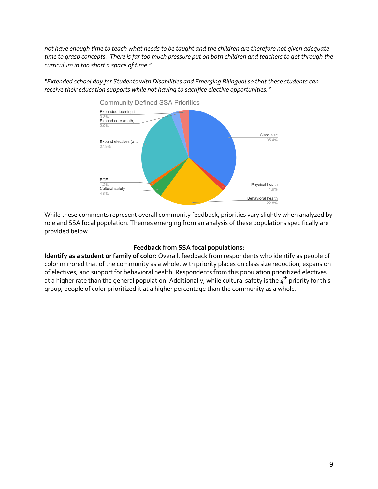*not have enough time to teach what needs to be taught and the children are therefore not given adequate time to grasp concepts. There is far too much pressure put on both children and teachers to get through the curriculum in too short a space of time."*

*"Extended school day for Students with Disabilities and Emerging Bilingual so that these students can receive their education supports while not having to sacrifice elective opportunities."*



While these comments represent overall community feedback, priorities vary slightly when analyzed by role and SSA focal population. Themes emerging from an analysis of these populations specifically are provided below.

#### **Feedback from SSA focal populations:**

**Identify as a student or family of color:** Overall, feedback from respondents who identify as people of color mirrored that of the community as a whole, with priority places on class size reduction, expansion of electives, and support for behavioral health. Respondents from this population prioritized electives at a higher rate than the general population. Additionally, while cultural safety is the  $4^{\text{th}}$  priority for this group, people of color prioritized it at a higher percentage than the community as a whole.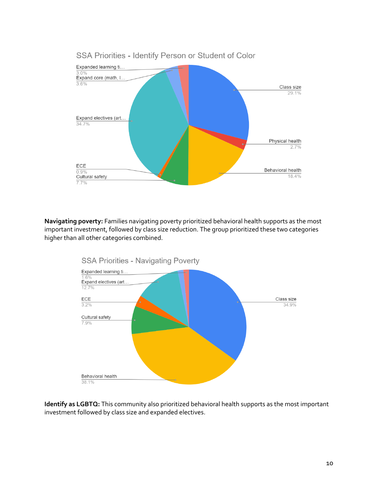

**Navigating poverty:** Families navigating poverty prioritized behavioral health supports as the most important investment, followed by class size reduction. The group prioritized these two categories higher than all other categories combined.



**Identify as LGBTQ:** This community also prioritized behavioral health supports as the most important investment followed by class size and expanded electives.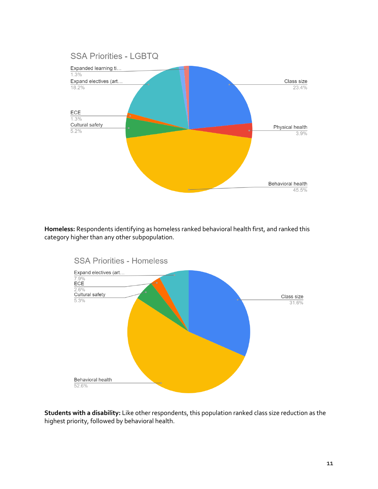

**Homeless:** Respondents identifying as homeless ranked behavioral health first, and ranked this category higher than any other subpopulation.



**Students with a disability:** Like other respondents, this population ranked class size reduction as the highest priority, followed by behavioral health.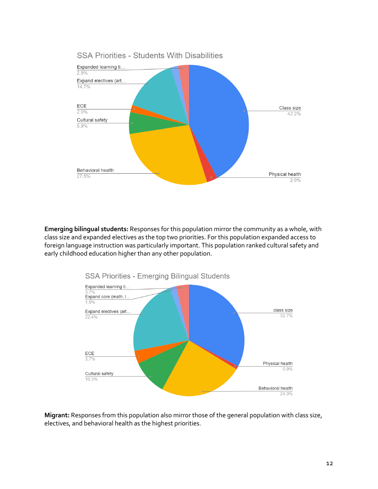

**Emerging bilingual students:** Responses for this population mirror the community as a whole, with class size and expanded electives as the top two priorities. For this population expanded access to foreign language instruction was particularly important. This population ranked cultural safety and early childhood education higher than any other population.



**Migrant:** Responses from this population also mirror those of the general population with class size, electives, and behavioral health as the highest priorities.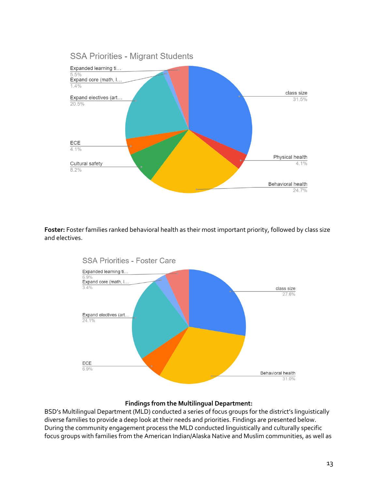

**Foster:** Foster families ranked behavioral health as their most important priority, followed by class size and electives.



#### **Findings from the Multilingual Department:**

BSD's Multilingual Department (MLD) conducted a series of focus groups for the district's linguistically diverse families to provide a deep look at their needs and priorities. Findings are presented below. During the community engagement process the MLD conducted linguistically and culturally specific focus groups with families from the American Indian/Alaska Native and Muslim communities, as well as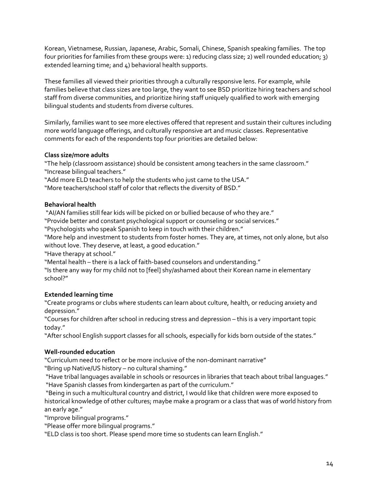Korean, Vietnamese, Russian, Japanese, Arabic, Somali, Chinese, Spanish speaking families. The top four priorities for families from these groups were: 1) reducing class size; 2) well rounded education; 3) extended learning time; and 4) behavioral health supports.

These families all viewed their priorities through a culturally responsive lens. For example, while families believe that class sizes are too large, they want to see BSD prioritize hiring teachers and school staff from diverse communities, and prioritize hiring staff uniquely qualified to work with emerging bilingual students and students from diverse cultures.

Similarly, families want to see more electives offered that represent and sustain their cultures including more world language offerings, and culturally responsive art and music classes. Representative comments for each of the respondents top four priorities are detailed below:

#### **Class size/more adults**

"The help (classroom assistance) should be consistent among teachers in the same classroom." "Increase bilingual teachers."

"Add more ELD teachers to help the students who just came to the USA."

"More teachers/school staff of color that reflects the diversity of BSD."

#### **Behavioral health**

"AI/AN families still fear kids will be picked on or bullied because of who they are."

"Provide better and constant psychological support or counseling or social services."

"Psychologists who speak Spanish to keep in touch with their children."

"More help and investment to students from foster homes. They are, at times, not only alone, but also without love. They deserve, at least, a good education."

"Have therapy at school."

"Mental health – there is a lack of faith-based counselors and understanding."

"Is there any way for my child not to [feel] shy/ashamed about their Korean name in elementary school?"

#### **Extended learning time**

"Create programs or clubs where students can learn about culture, health, or reducing anxiety and depression."

"Courses for children after school in reducing stress and depression – this is a very important topic today."

"After school English support classes for all schools, especially for kids born outside of the states."

#### **Well-rounded education**

"Curriculum need to reflect or be more inclusive of the non-dominant narrative"

"Bring up Native/US history – no cultural shaming."

"Have tribal languages available in schools or resources in libraries that teach about tribal languages." "Have Spanish classes from kindergarten as part of the curriculum."

"Being in such a multicultural country and district, I would like that children were more exposed to historical knowledge of other cultures; maybe make a program or a class that was of world history from an early age."

"Improve bilingual programs."

"Please offer more bilingual programs."

"ELD class is too short. Please spend more time so students can learn English."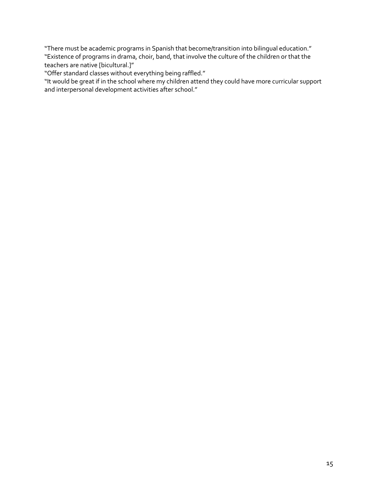"There must be academic programs in Spanish that become/transition into bilingual education." "Existence of programs in drama, choir, band, that involve the culture of the children or that the teachers are native [bicultural.]"

"Offer standard classes without everything being raffled."

"It would be great if in the school where my children attend they could have more curricular support and interpersonal development activities after school."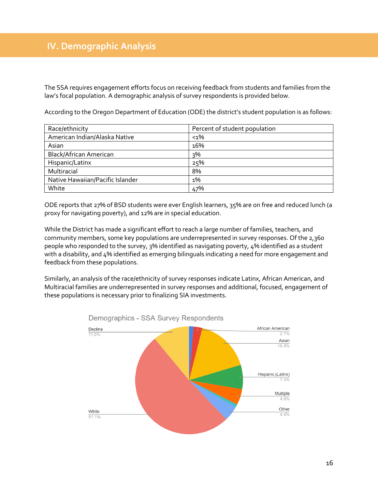The SSA requires engagement efforts focus on receiving feedback from students and families from the law's focal population. A demographic analysis of survey respondents is provided below.

| According to the Oregon Department of Education (ODE) the district's student population is as follows: |  |  |  |
|--------------------------------------------------------------------------------------------------------|--|--|--|
|                                                                                                        |  |  |  |

| Race/ethnicity                   | Percent of student population |
|----------------------------------|-------------------------------|
| American Indian/Alaska Native    | $1%$                          |
| Asian                            | 16%                           |
| Black/African American           | 3%                            |
| Hispanic/Latinx                  | 25%                           |
| Multiracial                      | 8%                            |
| Native Hawaiian/Pacific Islander | $1\%$                         |
| White                            | 47%                           |

ODE reports that 27% of BSD students were ever English learners, 35% are on free and reduced lunch (a proxy for navigating poverty), and 12% are in special education.

While the District has made a significant effort to reach a large number of families, teachers, and community members, some key populations are underrepresented in survey responses. Of the 2,360 people who responded to the survey, 3% identified as navigating poverty, 4% identified as a student with a disability, and 4% identified as emerging bilinguals indicating a need for more engagement and feedback from these populations.

Similarly, an analysis of the race/ethnicity of survey responses indicate Latinx, African American, and Multiracial families are underrepresented in survey responses and additional, focused, engagement of these populations is necessary prior to finalizing SIA investments.



Demographics - SSA Survey Respondents